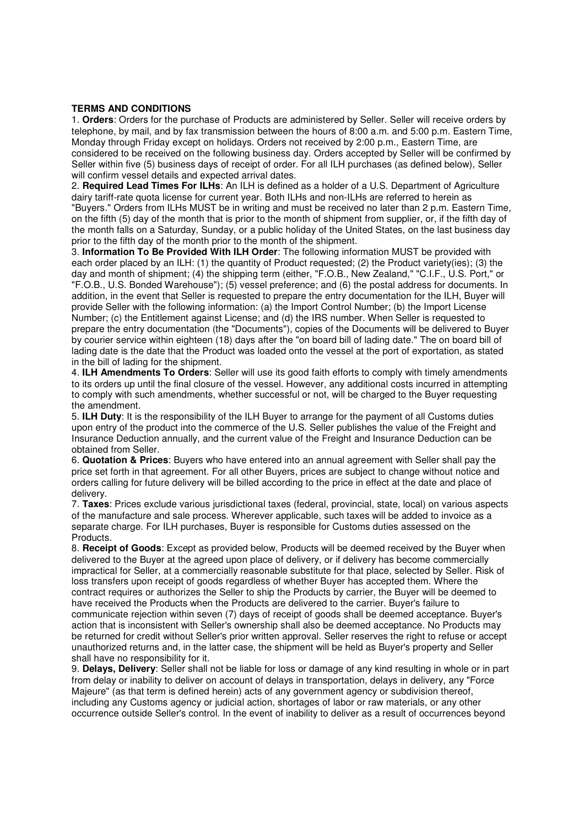## **TERMS AND CONDITIONS**

1. **Orders**: Orders for the purchase of Products are administered by Seller. Seller will receive orders by telephone, by mail, and by fax transmission between the hours of 8:00 a.m. and 5:00 p.m. Eastern Time, Monday through Friday except on holidays. Orders not received by 2:00 p.m., Eastern Time, are considered to be received on the following business day. Orders accepted by Seller will be confirmed by Seller within five (5) business days of receipt of order. For all ILH purchases (as defined below), Seller will confirm vessel details and expected arrival dates.

2. **Required Lead Times For ILHs**: An ILH is defined as a holder of a U.S. Department of Agriculture dairy tariff-rate quota license for current year. Both ILHs and non-ILHs are referred to herein as "Buyers." Orders from ILHs MUST be in writing and must be received no later than 2 p.m. Eastern Time, on the fifth (5) day of the month that is prior to the month of shipment from supplier, or, if the fifth day of the month falls on a Saturday, Sunday, or a public holiday of the United States, on the last business day prior to the fifth day of the month prior to the month of the shipment.

3. **Information To Be Provided With ILH Order**: The following information MUST be provided with each order placed by an ILH: (1) the quantity of Product requested; (2) the Product variety(ies); (3) the day and month of shipment; (4) the shipping term (either, "F.O.B., New Zealand," "C.I.F., U.S. Port," or "F.O.B., U.S. Bonded Warehouse"); (5) vessel preference; and (6) the postal address for documents. In addition, in the event that Seller is requested to prepare the entry documentation for the ILH, Buyer will provide Seller with the following information: (a) the Import Control Number; (b) the Import License Number; (c) the Entitlement against License; and (d) the IRS number. When Seller is requested to prepare the entry documentation (the "Documents"), copies of the Documents will be delivered to Buyer by courier service within eighteen (18) days after the "on board bill of lading date." The on board bill of lading date is the date that the Product was loaded onto the vessel at the port of exportation, as stated in the bill of lading for the shipment.

4. **ILH Amendments To Orders**: Seller will use its good faith efforts to comply with timely amendments to its orders up until the final closure of the vessel. However, any additional costs incurred in attempting to comply with such amendments, whether successful or not, will be charged to the Buyer requesting the amendment.

5. **ILH Duty**: It is the responsibility of the ILH Buyer to arrange for the payment of all Customs duties upon entry of the product into the commerce of the U.S. Seller publishes the value of the Freight and Insurance Deduction annually, and the current value of the Freight and Insurance Deduction can be obtained from Seller.

6. **Quotation & Prices**: Buyers who have entered into an annual agreement with Seller shall pay the price set forth in that agreement. For all other Buyers, prices are subject to change without notice and orders calling for future delivery will be billed according to the price in effect at the date and place of delivery.

7. **Taxes**: Prices exclude various jurisdictional taxes (federal, provincial, state, local) on various aspects of the manufacture and sale process. Wherever applicable, such taxes will be added to invoice as a separate charge. For ILH purchases, Buyer is responsible for Customs duties assessed on the Products.

8. **Receipt of Goods**: Except as provided below, Products will be deemed received by the Buyer when delivered to the Buyer at the agreed upon place of delivery, or if delivery has become commercially impractical for Seller, at a commercially reasonable substitute for that place, selected by Seller. Risk of loss transfers upon receipt of goods regardless of whether Buyer has accepted them. Where the contract requires or authorizes the Seller to ship the Products by carrier, the Buyer will be deemed to have received the Products when the Products are delivered to the carrier. Buyer's failure to communicate rejection within seven (7) days of receipt of goods shall be deemed acceptance. Buyer's action that is inconsistent with Seller's ownership shall also be deemed acceptance. No Products may be returned for credit without Seller's prior written approval. Seller reserves the right to refuse or accept unauthorized returns and, in the latter case, the shipment will be held as Buyer's property and Seller shall have no responsibility for it.

9. **Delays, Delivery**: Seller shall not be liable for loss or damage of any kind resulting in whole or in part from delay or inability to deliver on account of delays in transportation, delays in delivery, any "Force Majeure" (as that term is defined herein) acts of any government agency or subdivision thereof, including any Customs agency or judicial action, shortages of labor or raw materials, or any other occurrence outside Seller's control. In the event of inability to deliver as a result of occurrences beyond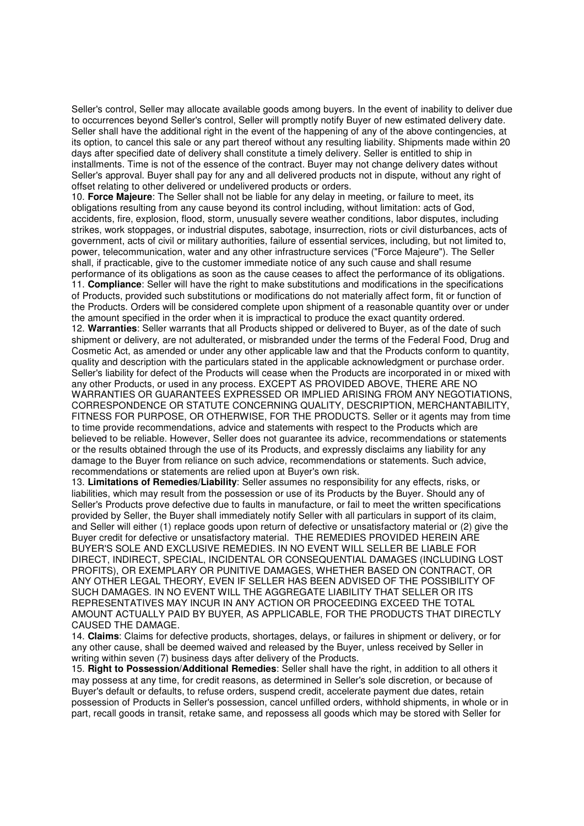Seller's control, Seller may allocate available goods among buyers. In the event of inability to deliver due to occurrences beyond Seller's control, Seller will promptly notify Buyer of new estimated delivery date. Seller shall have the additional right in the event of the happening of any of the above contingencies, at its option, to cancel this sale or any part thereof without any resulting liability. Shipments made within 20 days after specified date of delivery shall constitute a timely delivery. Seller is entitled to ship in installments. Time is not of the essence of the contract. Buyer may not change delivery dates without Seller's approval. Buyer shall pay for any and all delivered products not in dispute, without any right of offset relating to other delivered or undelivered products or orders.

10. **Force Majeure**: The Seller shall not be liable for any delay in meeting, or failure to meet, its obligations resulting from any cause beyond its control including, without limitation: acts of God, accidents, fire, explosion, flood, storm, unusually severe weather conditions, labor disputes, including strikes, work stoppages, or industrial disputes, sabotage, insurrection, riots or civil disturbances, acts of government, acts of civil or military authorities, failure of essential services, including, but not limited to, power, telecommunication, water and any other infrastructure services ("Force Majeure"). The Seller shall, if practicable, give to the customer immediate notice of any such cause and shall resume performance of its obligations as soon as the cause ceases to affect the performance of its obligations. 11. **Compliance**: Seller will have the right to make substitutions and modifications in the specifications of Products, provided such substitutions or modifications do not materially affect form, fit or function of the Products. Orders will be considered complete upon shipment of a reasonable quantity over or under the amount specified in the order when it is impractical to produce the exact quantity ordered. 12. **Warranties**: Seller warrants that all Products shipped or delivered to Buyer, as of the date of such shipment or delivery, are not adulterated, or misbranded under the terms of the Federal Food, Drug and Cosmetic Act, as amended or under any other applicable law and that the Products conform to quantity, quality and description with the particulars stated in the applicable acknowledgment or purchase order.

Seller's liability for defect of the Products will cease when the Products are incorporated in or mixed with any other Products, or used in any process. EXCEPT AS PROVIDED ABOVE, THERE ARE NO WARRANTIES OR GUARANTEES EXPRESSED OR IMPLIED ARISING FROM ANY NEGOTIATIONS, CORRESPONDENCE OR STATUTE CONCERNING QUALITY, DESCRIPTION, MERCHANTABILITY, FITNESS FOR PURPOSE, OR OTHERWISE, FOR THE PRODUCTS. Seller or it agents may from time to time provide recommendations, advice and statements with respect to the Products which are believed to be reliable. However, Seller does not guarantee its advice, recommendations or statements or the results obtained through the use of its Products, and expressly disclaims any liability for any damage to the Buyer from reliance on such advice, recommendations or statements. Such advice, recommendations or statements are relied upon at Buyer's own risk.

13. **Limitations of Remedies/Liability**: Seller assumes no responsibility for any effects, risks, or liabilities, which may result from the possession or use of its Products by the Buyer. Should any of Seller's Products prove defective due to faults in manufacture, or fail to meet the written specifications provided by Seller, the Buyer shall immediately notify Seller with all particulars in support of its claim, and Seller will either (1) replace goods upon return of defective or unsatisfactory material or (2) give the Buyer credit for defective or unsatisfactory material. THE REMEDIES PROVIDED HEREIN ARE BUYER'S SOLE AND EXCLUSIVE REMEDIES. IN NO EVENT WILL SELLER BE LIABLE FOR DIRECT, INDIRECT, SPECIAL, INCIDENTAL OR CONSEQUENTIAL DAMAGES (INCLUDING LOST PROFITS), OR EXEMPLARY OR PUNITIVE DAMAGES, WHETHER BASED ON CONTRACT, OR ANY OTHER LEGAL THEORY, EVEN IF SELLER HAS BEEN ADVISED OF THE POSSIBILITY OF SUCH DAMAGES. IN NO EVENT WILL THE AGGREGATE LIABILITY THAT SELLER OR ITS REPRESENTATIVES MAY INCUR IN ANY ACTION OR PROCEEDING EXCEED THE TOTAL AMOUNT ACTUALLY PAID BY BUYER, AS APPLICABLE, FOR THE PRODUCTS THAT DIRECTLY CAUSED THE DAMAGE.

14. **Claims**: Claims for defective products, shortages, delays, or failures in shipment or delivery, or for any other cause, shall be deemed waived and released by the Buyer, unless received by Seller in writing within seven (7) business days after delivery of the Products.

15. **Right to Possession/Additional Remedies**: Seller shall have the right, in addition to all others it may possess at any time, for credit reasons, as determined in Seller's sole discretion, or because of Buyer's default or defaults, to refuse orders, suspend credit, accelerate payment due dates, retain possession of Products in Seller's possession, cancel unfilled orders, withhold shipments, in whole or in part, recall goods in transit, retake same, and repossess all goods which may be stored with Seller for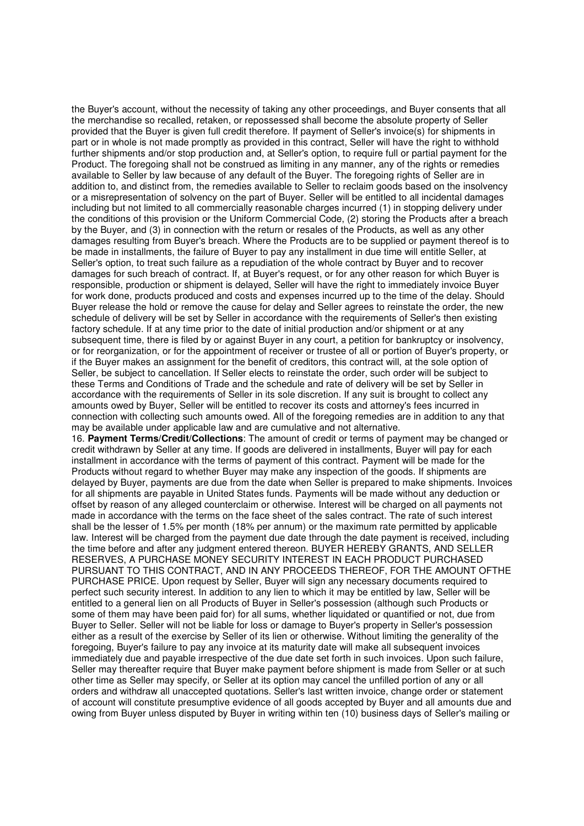the Buyer's account, without the necessity of taking any other proceedings, and Buyer consents that all the merchandise so recalled, retaken, or repossessed shall become the absolute property of Seller provided that the Buyer is given full credit therefore. If payment of Seller's invoice(s) for shipments in part or in whole is not made promptly as provided in this contract, Seller will have the right to withhold further shipments and/or stop production and, at Seller's option, to require full or partial payment for the Product. The foregoing shall not be construed as limiting in any manner, any of the rights or remedies available to Seller by law because of any default of the Buyer. The foregoing rights of Seller are in addition to, and distinct from, the remedies available to Seller to reclaim goods based on the insolvency or a misrepresentation of solvency on the part of Buyer. Seller will be entitled to all incidental damages including but not limited to all commercially reasonable charges incurred (1) in stopping delivery under the conditions of this provision or the Uniform Commercial Code, (2) storing the Products after a breach by the Buyer, and (3) in connection with the return or resales of the Products, as well as any other damages resulting from Buyer's breach. Where the Products are to be supplied or payment thereof is to be made in installments, the failure of Buyer to pay any installment in due time will entitle Seller, at Seller's option, to treat such failure as a repudiation of the whole contract by Buyer and to recover damages for such breach of contract. If, at Buyer's request, or for any other reason for which Buyer is responsible, production or shipment is delayed, Seller will have the right to immediately invoice Buyer for work done, products produced and costs and expenses incurred up to the time of the delay. Should Buyer release the hold or remove the cause for delay and Seller agrees to reinstate the order, the new schedule of delivery will be set by Seller in accordance with the requirements of Seller's then existing factory schedule. If at any time prior to the date of initial production and/or shipment or at any subsequent time, there is filed by or against Buyer in any court, a petition for bankruptcy or insolvency, or for reorganization, or for the appointment of receiver or trustee of all or portion of Buyer's property, or if the Buyer makes an assignment for the benefit of creditors, this contract will, at the sole option of Seller, be subject to cancellation. If Seller elects to reinstate the order, such order will be subject to these Terms and Conditions of Trade and the schedule and rate of delivery will be set by Seller in accordance with the requirements of Seller in its sole discretion. If any suit is brought to collect any amounts owed by Buyer, Seller will be entitled to recover its costs and attorney's fees incurred in connection with collecting such amounts owed. All of the foregoing remedies are in addition to any that may be available under applicable law and are cumulative and not alternative.

16. **Payment Terms/Credit/Collections**: The amount of credit or terms of payment may be changed or credit withdrawn by Seller at any time. If goods are delivered in installments, Buyer will pay for each installment in accordance with the terms of payment of this contract. Payment will be made for the Products without regard to whether Buyer may make any inspection of the goods. If shipments are delayed by Buyer, payments are due from the date when Seller is prepared to make shipments. Invoices for all shipments are payable in United States funds. Payments will be made without any deduction or offset by reason of any alleged counterclaim or otherwise. Interest will be charged on all payments not made in accordance with the terms on the face sheet of the sales contract. The rate of such interest shall be the lesser of 1.5% per month (18% per annum) or the maximum rate permitted by applicable law. Interest will be charged from the payment due date through the date payment is received, including the time before and after any judgment entered thereon. BUYER HEREBY GRANTS, AND SELLER RESERVES, A PURCHASE MONEY SECURITY INTEREST IN EACH PRODUCT PURCHASED PURSUANT TO THIS CONTRACT, AND IN ANY PROCEEDS THEREOF, FOR THE AMOUNT OFTHE PURCHASE PRICE. Upon request by Seller, Buyer will sign any necessary documents required to perfect such security interest. In addition to any lien to which it may be entitled by law, Seller will be entitled to a general lien on all Products of Buyer in Seller's possession (although such Products or some of them may have been paid for) for all sums, whether liquidated or quantified or not, due from Buyer to Seller. Seller will not be liable for loss or damage to Buyer's property in Seller's possession either as a result of the exercise by Seller of its lien or otherwise. Without limiting the generality of the foregoing, Buyer's failure to pay any invoice at its maturity date will make all subsequent invoices immediately due and payable irrespective of the due date set forth in such invoices. Upon such failure, Seller may thereafter require that Buyer make payment before shipment is made from Seller or at such other time as Seller may specify, or Seller at its option may cancel the unfilled portion of any or all orders and withdraw all unaccepted quotations. Seller's last written invoice, change order or statement of account will constitute presumptive evidence of all goods accepted by Buyer and all amounts due and owing from Buyer unless disputed by Buyer in writing within ten (10) business days of Seller's mailing or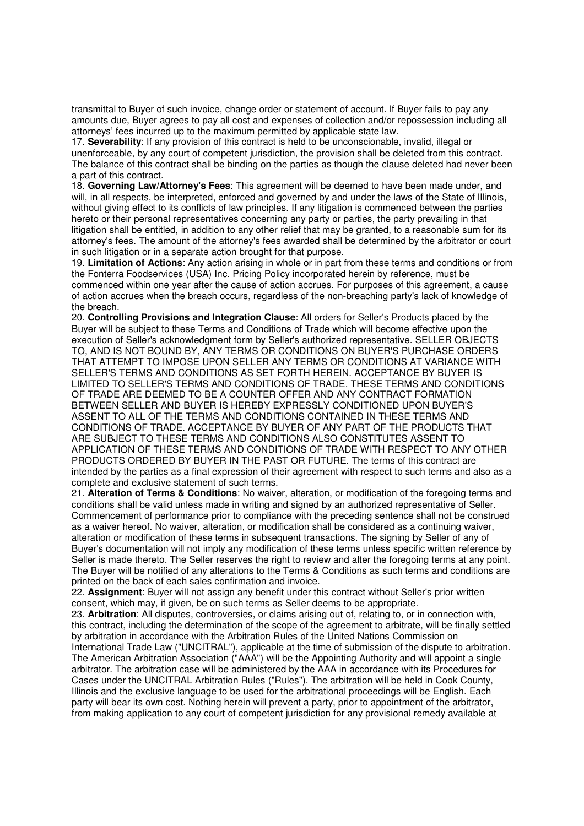transmittal to Buyer of such invoice, change order or statement of account. If Buyer fails to pay any amounts due, Buyer agrees to pay all cost and expenses of collection and/or repossession including all attorneys' fees incurred up to the maximum permitted by applicable state law.

17. **Severability**: If any provision of this contract is held to be unconscionable, invalid, illegal or unenforceable, by any court of competent jurisdiction, the provision shall be deleted from this contract. The balance of this contract shall be binding on the parties as though the clause deleted had never been a part of this contract.

18. **Governing Law/Attorney's Fees**: This agreement will be deemed to have been made under, and will, in all respects, be interpreted, enforced and governed by and under the laws of the State of Illinois, without giving effect to its conflicts of law principles. If any litigation is commenced between the parties hereto or their personal representatives concerning any party or parties, the party prevailing in that litigation shall be entitled, in addition to any other relief that may be granted, to a reasonable sum for its attorney's fees. The amount of the attorney's fees awarded shall be determined by the arbitrator or court in such litigation or in a separate action brought for that purpose.

19. **Limitation of Actions**: Any action arising in whole or in part from these terms and conditions or from the Fonterra Foodservices (USA) Inc. Pricing Policy incorporated herein by reference, must be commenced within one year after the cause of action accrues. For purposes of this agreement, a cause of action accrues when the breach occurs, regardless of the non-breaching party's lack of knowledge of the breach.

20. **Controlling Provisions and Integration Clause**: All orders for Seller's Products placed by the Buyer will be subject to these Terms and Conditions of Trade which will become effective upon the execution of Seller's acknowledgment form by Seller's authorized representative. SELLER OBJECTS TO, AND IS NOT BOUND BY, ANY TERMS OR CONDITIONS ON BUYER'S PURCHASE ORDERS THAT ATTEMPT TO IMPOSE UPON SELLER ANY TERMS OR CONDITIONS AT VARIANCE WITH SELLER'S TERMS AND CONDITIONS AS SET FORTH HEREIN. ACCEPTANCE BY BUYER IS LIMITED TO SELLER'S TERMS AND CONDITIONS OF TRADE. THESE TERMS AND CONDITIONS OF TRADE ARE DEEMED TO BE A COUNTER OFFER AND ANY CONTRACT FORMATION BETWEEN SELLER AND BUYER IS HEREBY EXPRESSLY CONDITIONED UPON BUYER'S ASSENT TO ALL OF THE TERMS AND CONDITIONS CONTAINED IN THESE TERMS AND CONDITIONS OF TRADE. ACCEPTANCE BY BUYER OF ANY PART OF THE PRODUCTS THAT ARE SUBJECT TO THESE TERMS AND CONDITIONS ALSO CONSTITUTES ASSENT TO APPLICATION OF THESE TERMS AND CONDITIONS OF TRADE WITH RESPECT TO ANY OTHER PRODUCTS ORDERED BY BUYER IN THE PAST OR FUTURE. The terms of this contract are intended by the parties as a final expression of their agreement with respect to such terms and also as a complete and exclusive statement of such terms.

21. **Alteration of Terms & Conditions**: No waiver, alteration, or modification of the foregoing terms and conditions shall be valid unless made in writing and signed by an authorized representative of Seller. Commencement of performance prior to compliance with the preceding sentence shall not be construed as a waiver hereof. No waiver, alteration, or modification shall be considered as a continuing waiver, alteration or modification of these terms in subsequent transactions. The signing by Seller of any of Buyer's documentation will not imply any modification of these terms unless specific written reference by Seller is made thereto. The Seller reserves the right to review and alter the foregoing terms at any point. The Buyer will be notified of any alterations to the Terms & Conditions as such terms and conditions are printed on the back of each sales confirmation and invoice.

22. **Assignment**: Buyer will not assign any benefit under this contract without Seller's prior written consent, which may, if given, be on such terms as Seller deems to be appropriate.

23. **Arbitration**: All disputes, controversies, or claims arising out of, relating to, or in connection with, this contract, including the determination of the scope of the agreement to arbitrate, will be finally settled by arbitration in accordance with the Arbitration Rules of the United Nations Commission on International Trade Law ("UNCITRAL"), applicable at the time of submission of the dispute to arbitration.

The American Arbitration Association ("AAA") will be the Appointing Authority and will appoint a single arbitrator. The arbitration case will be administered by the AAA in accordance with its Procedures for Cases under the UNCITRAL Arbitration Rules ("Rules"). The arbitration will be held in Cook County, Illinois and the exclusive language to be used for the arbitrational proceedings will be English. Each party will bear its own cost. Nothing herein will prevent a party, prior to appointment of the arbitrator, from making application to any court of competent jurisdiction for any provisional remedy available at